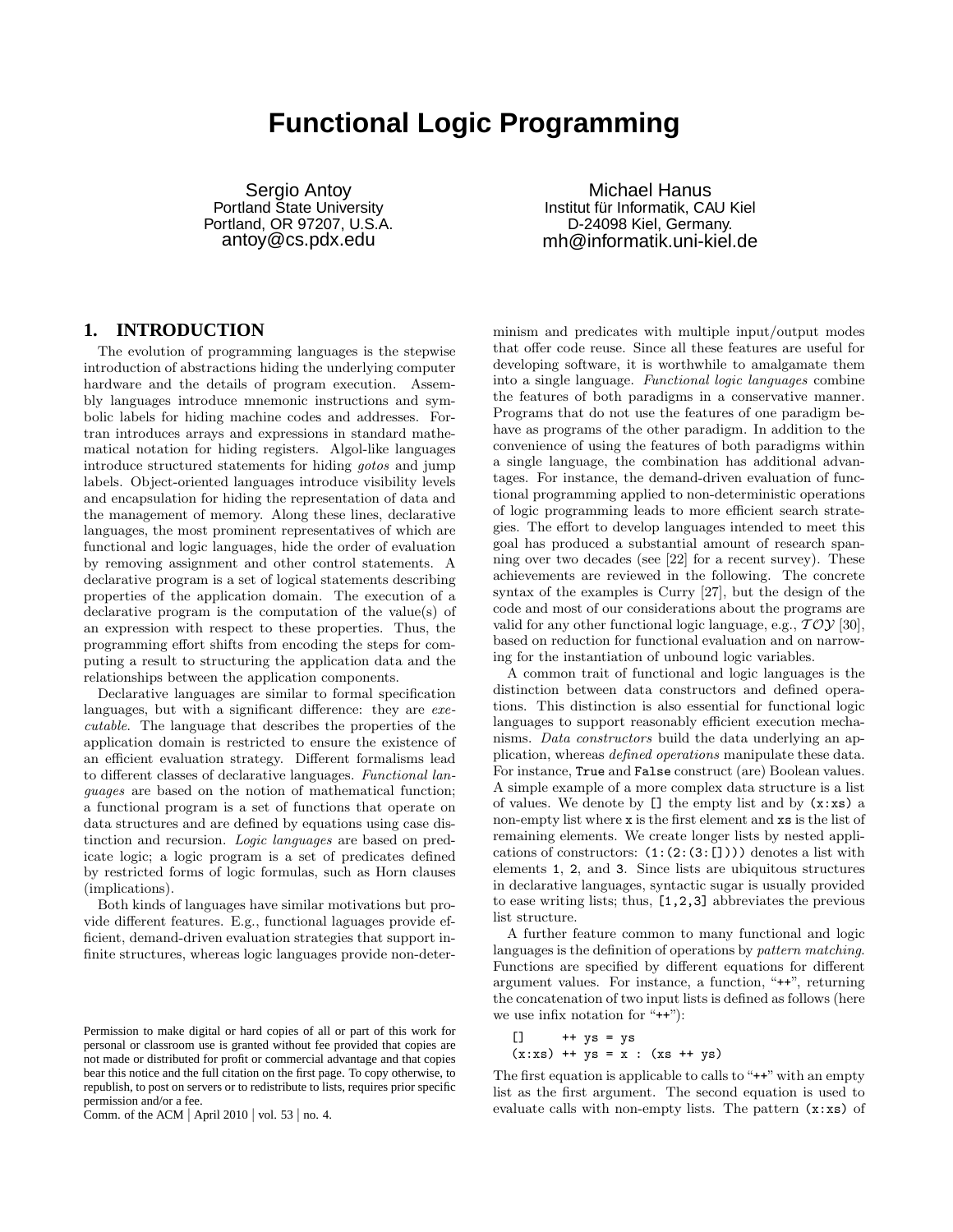# **Functional Logic Programming**

Sergio Antoy Portland State University Portland, OR 97207, U.S.A. antoy@cs.pdx.edu

Michael Hanus Institut für Informatik, CAU Kiel D-24098 Kiel, Germany. mh@informatik.uni-kiel.de

## **1. INTRODUCTION**

The evolution of programming languages is the stepwise introduction of abstractions hiding the underlying computer hardware and the details of program execution. Assembly languages introduce mnemonic instructions and symbolic labels for hiding machine codes and addresses. Fortran introduces arrays and expressions in standard mathematical notation for hiding registers. Algol-like languages introduce structured statements for hiding *gotos* and jump labels. Object-oriented languages introduce visibility levels and encapsulation for hiding the representation of data and the management of memory. Along these lines, declarative languages, the most prominent representatives of which are functional and logic languages, hide the order of evaluation by removing assignment and other control statements. A declarative program is a set of logical statements describing properties of the application domain. The execution of a declarative program is the computation of the value(s) of an expression with respect to these properties. Thus, the programming effort shifts from encoding the steps for computing a result to structuring the application data and the relationships between the application components.

Declarative languages are similar to formal specification languages, but with a significant difference: they are *executable*. The language that describes the properties of the application domain is restricted to ensure the existence of an efficient evaluation strategy. Different formalisms lead to different classes of declarative languages. *Functional languages* are based on the notion of mathematical function; a functional program is a set of functions that operate on data structures and are defined by equations using case distinction and recursion. *Logic languages* are based on predicate logic; a logic program is a set of predicates defined by restricted forms of logic formulas, such as Horn clauses (implications).

Both kinds of languages have similar motivations but provide different features. E.g., functional laguages provide efficient, demand-driven evaluation strategies that support infinite structures, whereas logic languages provide non-deter-

Comm. of the ACM | April 2010 | vol. 53 | no. 4.

minism and predicates with multiple input/output modes that offer code reuse. Since all these features are useful for developing software, it is worthwhile to amalgamate them into a single language. *Functional logic languages* combine the features of both paradigms in a conservative manner. Programs that do not use the features of one paradigm behave as programs of the other paradigm. In addition to the convenience of using the features of both paradigms within a single language, the combination has additional advantages. For instance, the demand-driven evaluation of functional programming applied to non-deterministic operations of logic programming leads to more efficient search strategies. The effort to develop languages intended to meet this goal has produced a substantial amount of research spanning over two decades (see [22] for a recent survey). These achievements are reviewed in the following. The concrete syntax of the examples is Curry [27], but the design of the code and most of our considerations about the programs are valid for any other functional logic language, e.g.,  $TOY$  [30], based on reduction for functional evaluation and on narrowing for the instantiation of unbound logic variables.

A common trait of functional and logic languages is the distinction between data constructors and defined operations. This distinction is also essential for functional logic languages to support reasonably efficient execution mechanisms. *Data constructors* build the data underlying an application, whereas *defined operations* manipulate these data. For instance, True and False construct (are) Boolean values. A simple example of a more complex data structure is a list of values. We denote by  $[]$  the empty list and by  $(x:xs)$  a non-empty list where x is the first element and xs is the list of remaining elements. We create longer lists by nested applications of constructors:  $(1:(2:(3:[]))$  denotes a list with elements 1, 2, and 3. Since lists are ubiquitous structures in declarative languages, syntactic sugar is usually provided to ease writing lists; thus, [1,2,3] abbreviates the previous list structure.

A further feature common to many functional and logic languages is the definition of operations by *pattern matching*. Functions are specified by different equations for different argument values. For instance, a function, "++", returning the concatenation of two input lists is defined as follows (here we use infix notation for "++"):

$$
\begin{array}{ll}\n[1] & +t \text{ ys} = \text{ ys} \\
(x:xs) & +t \text{ ys} = x : (xs ++ ys)\n\end{array}
$$

The first equation is applicable to calls to " $++$ " with an empty list as the first argument. The second equation is used to evaluate calls with non-empty lists. The pattern (x:xs) of

Permission to make digital or hard copies of all or part of this work for personal or classroom use is granted without fee provided that copies are not made or distributed for profit or commercial advantage and that copies bear this notice and the full citation on the first page. To copy otherwise, to republish, to post on servers or to redistribute to lists, requires prior specific permission and/or a fee.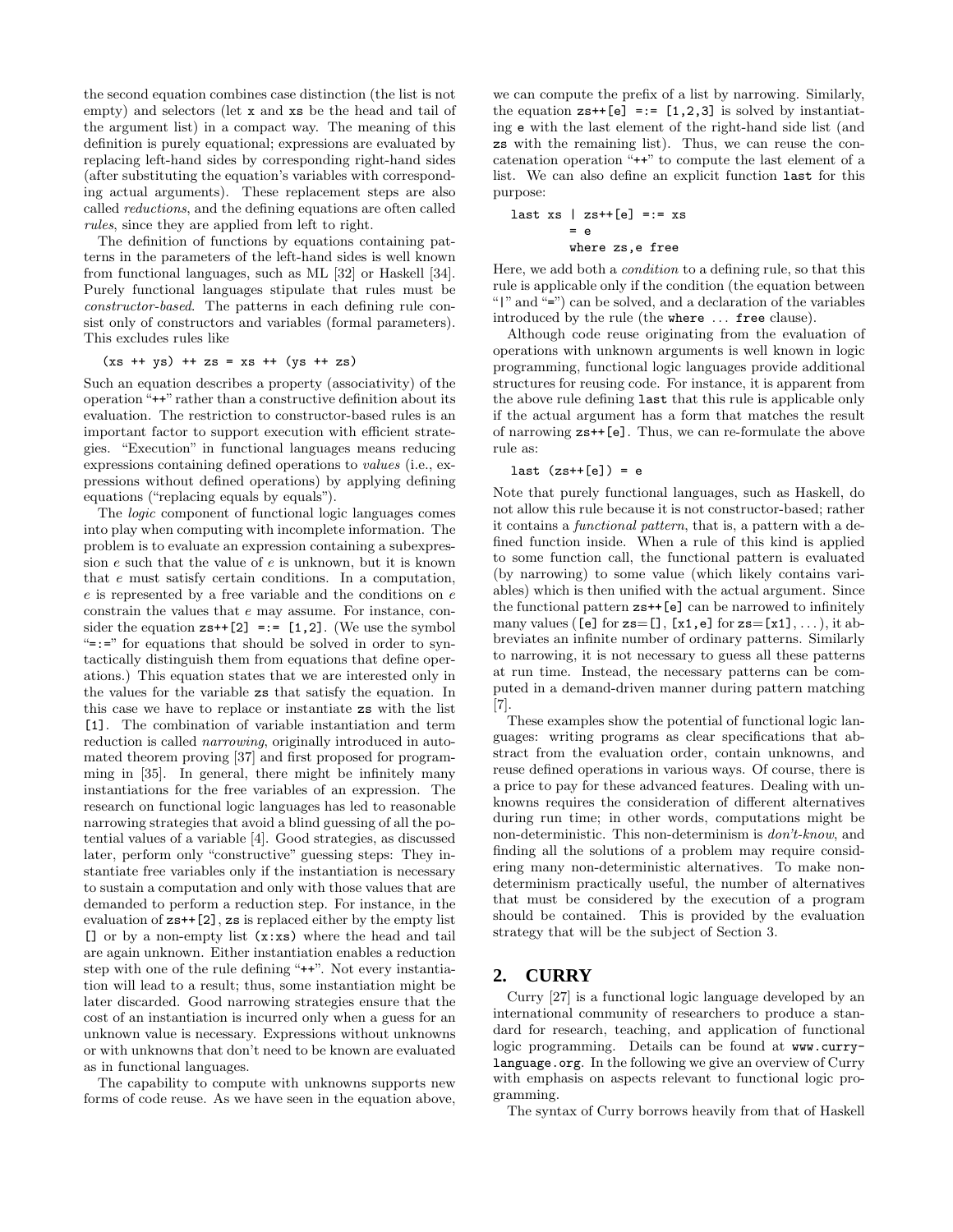the second equation combines case distinction (the list is not empty) and selectors (let x and xs be the head and tail of the argument list) in a compact way. The meaning of this definition is purely equational; expressions are evaluated by replacing left-hand sides by corresponding right-hand sides (after substituting the equation's variables with corresponding actual arguments). These replacement steps are also called *reductions*, and the defining equations are often called *rules*, since they are applied from left to right.

The definition of functions by equations containing patterns in the parameters of the left-hand sides is well known from functional languages, such as ML [32] or Haskell [34]. Purely functional languages stipulate that rules must be *constructor-based*. The patterns in each defining rule consist only of constructors and variables (formal parameters). This excludes rules like

### $(xs + ys) + zs = xs + (ys + zs)$

Such an equation describes a property (associativity) of the operation "++" rather than a constructive definition about its evaluation. The restriction to constructor-based rules is an important factor to support execution with efficient strategies. "Execution" in functional languages means reducing expressions containing defined operations to *values* (i.e., expressions without defined operations) by applying defining equations ("replacing equals by equals").

The *logic* component of functional logic languages comes into play when computing with incomplete information. The problem is to evaluate an expression containing a subexpression  $e$  such that the value of  $e$  is unknown, but it is known that e must satisfy certain conditions. In a computation, e is represented by a free variable and the conditions on e constrain the values that e may assume. For instance, consider the equation  $z_{s+1}[2] = := [1,2]$ . (We use the symbol  $"=="$  for equations that should be solved in order to syntactically distinguish them from equations that define operations.) This equation states that we are interested only in the values for the variable zs that satisfy the equation. In this case we have to replace or instantiate zs with the list [1]. The combination of variable instantiation and term reduction is called *narrowing*, originally introduced in automated theorem proving [37] and first proposed for programming in [35]. In general, there might be infinitely many instantiations for the free variables of an expression. The research on functional logic languages has led to reasonable narrowing strategies that avoid a blind guessing of all the potential values of a variable [4]. Good strategies, as discussed later, perform only "constructive" guessing steps: They instantiate free variables only if the instantiation is necessary to sustain a computation and only with those values that are demanded to perform a reduction step. For instance, in the evaluation of zs++[2], zs is replaced either by the empty list [] or by a non-empty list (x:xs) where the head and tail are again unknown. Either instantiation enables a reduction step with one of the rule defining "++". Not every instantiation will lead to a result; thus, some instantiation might be later discarded. Good narrowing strategies ensure that the cost of an instantiation is incurred only when a guess for an unknown value is necessary. Expressions without unknowns or with unknowns that don't need to be known are evaluated as in functional languages.

The capability to compute with unknowns supports new forms of code reuse. As we have seen in the equation above, we can compute the prefix of a list by narrowing. Similarly, the equation  $z_{s+1}[e] = := [1,2,3]$  is solved by instantiating e with the last element of the right-hand side list (and zs with the remaining list). Thus, we can reuse the concatenation operation "++" to compute the last element of a list. We can also define an explicit function last for this purpose:

$$
last xs | zs++[e] == xs
$$
  
= e  
where zs, e free

Here, we add both a *condition* to a defining rule, so that this rule is applicable only if the condition (the equation between "|" and "=") can be solved, and a declaration of the variables introduced by the rule (the where ... free clause).

Although code reuse originating from the evaluation of operations with unknown arguments is well known in logic programming, functional logic languages provide additional structures for reusing code. For instance, it is apparent from the above rule defining last that this rule is applicable only if the actual argument has a form that matches the result of narrowing zs++[e]. Thus, we can re-formulate the above rule as:

#### last  $(zs++[e]) = e$

Note that purely functional languages, such as Haskell, do not allow this rule because it is not constructor-based; rather it contains a *functional pattern*, that is, a pattern with a defined function inside. When a rule of this kind is applied to some function call, the functional pattern is evaluated (by narrowing) to some value (which likely contains variables) which is then unified with the actual argument. Since the functional pattern zs++[e] can be narrowed to infinitely many values ([e] for  $z = [$ ],  $[x1, e]$  for  $z = [x1], \ldots$ , it abbreviates an infinite number of ordinary patterns. Similarly to narrowing, it is not necessary to guess all these patterns at run time. Instead, the necessary patterns can be computed in a demand-driven manner during pattern matching [7].

These examples show the potential of functional logic languages: writing programs as clear specifications that abstract from the evaluation order, contain unknowns, and reuse defined operations in various ways. Of course, there is a price to pay for these advanced features. Dealing with unknowns requires the consideration of different alternatives during run time; in other words, computations might be non-deterministic. This non-determinism is *don't-know*, and finding all the solutions of a problem may require considering many non-deterministic alternatives. To make nondeterminism practically useful, the number of alternatives that must be considered by the execution of a program should be contained. This is provided by the evaluation strategy that will be the subject of Section 3.

## **2. CURRY**

Curry [27] is a functional logic language developed by an international community of researchers to produce a standard for research, teaching, and application of functional logic programming. Details can be found at www.currylanguage.org. In the following we give an overview of Curry with emphasis on aspects relevant to functional logic programming.

The syntax of Curry borrows heavily from that of Haskell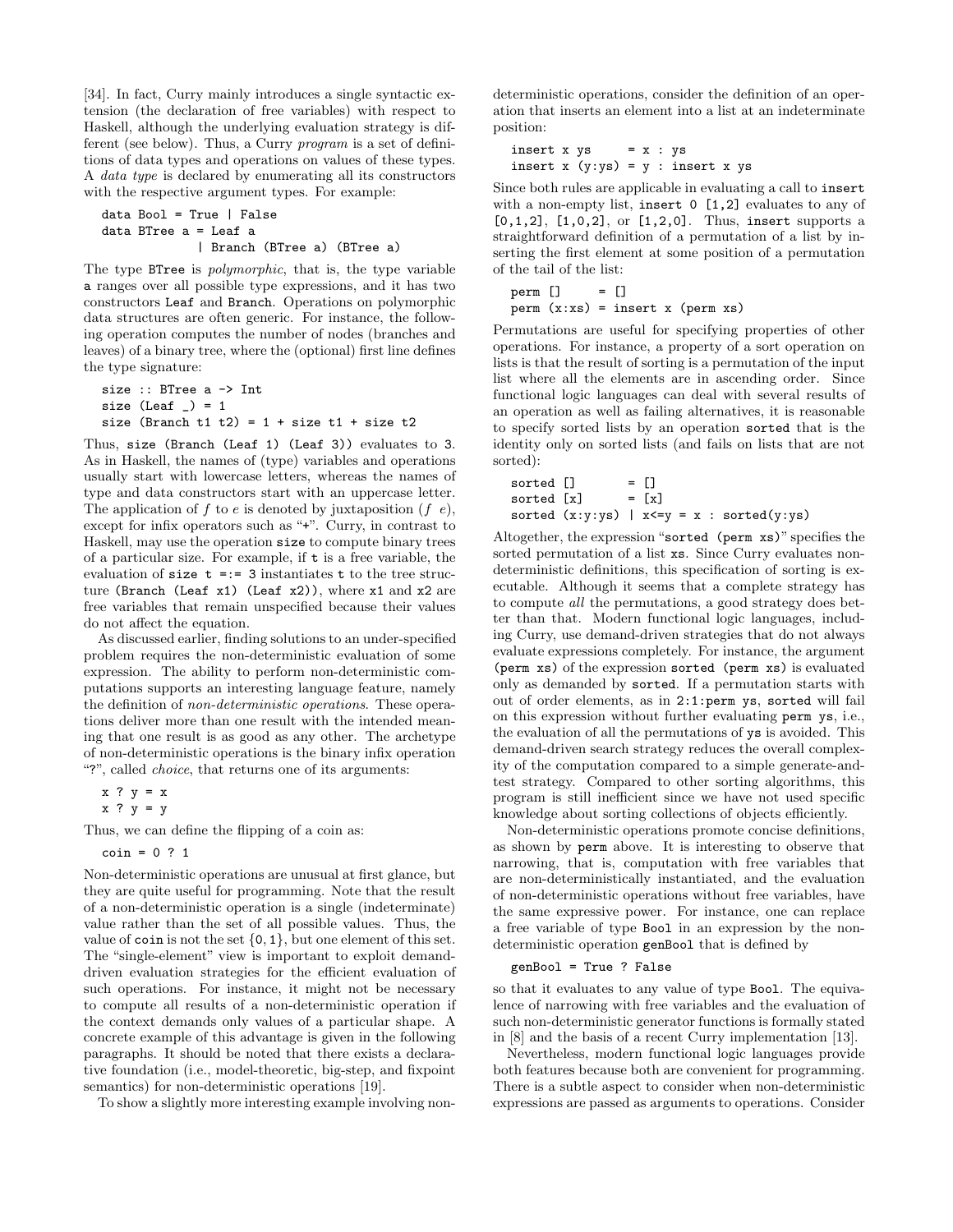[34]. In fact, Curry mainly introduces a single syntactic extension (the declaration of free variables) with respect to Haskell, although the underlying evaluation strategy is different (see below). Thus, a Curry *program* is a set of definitions of data types and operations on values of these types. A *data type* is declared by enumerating all its constructors with the respective argument types. For example:

```
data Bool = True | False
data BTree a = Leaf a
             | Branch (BTree a) (BTree a)
```
The type BTree is *polymorphic*, that is, the type variable a ranges over all possible type expressions, and it has two constructors Leaf and Branch. Operations on polymorphic data structures are often generic. For instance, the following operation computes the number of nodes (branches and leaves) of a binary tree, where the (optional) first line defines the type signature:

```
size :: BTree a -> Int
size (Leaf ) = 1size (Branch t1 t2) = 1 + size t1 + size t2
```
Thus, size (Branch (Leaf 1) (Leaf 3)) evaluates to 3. As in Haskell, the names of (type) variables and operations usually start with lowercase letters, whereas the names of type and data constructors start with an uppercase letter. The application of f to e is denoted by juxtaposition (f e), except for infix operators such as "+". Curry, in contrast to Haskell, may use the operation size to compute binary trees of a particular size. For example, if t is a free variable, the evaluation of size  $t == 3$  instantiates  $t$  to the tree structure (Branch (Leaf x1) (Leaf x2)), where x1 and x2 are free variables that remain unspecified because their values do not affect the equation.

As discussed earlier, finding solutions to an under-specified problem requires the non-deterministic evaluation of some expression. The ability to perform non-deterministic computations supports an interesting language feature, namely the definition of *non-deterministic operations*. These operations deliver more than one result with the intended meaning that one result is as good as any other. The archetype of non-deterministic operations is the binary infix operation "?", called *choice*, that returns one of its arguments:

```
x ? y = x
```

```
x ? y = y
```
Thus, we can define the flipping of a coin as:

coin = 0 ? 1

Non-deterministic operations are unusual at first glance, but they are quite useful for programming. Note that the result of a non-deterministic operation is a single (indeterminate) value rather than the set of all possible values. Thus, the value of coin is not the set  $\{0, 1\}$ , but one element of this set. The "single-element" view is important to exploit demanddriven evaluation strategies for the efficient evaluation of such operations. For instance, it might not be necessary to compute all results of a non-deterministic operation if the context demands only values of a particular shape. A concrete example of this advantage is given in the following paragraphs. It should be noted that there exists a declarative foundation (i.e., model-theoretic, big-step, and fixpoint semantics) for non-deterministic operations [19].

To show a slightly more interesting example involving non-

deterministic operations, consider the definition of an operation that inserts an element into a list at an indeterminate position:

```
insert x ys = x : ysinsert x (y:ys) = y: insert x ys
```
Since both rules are applicable in evaluating a call to insert with a non-empty list, insert 0 [1,2] evaluates to any of [0,1,2], [1,0,2], or [1,2,0]. Thus, insert supports a straightforward definition of a permutation of a list by inserting the first element at some position of a permutation of the tail of the list:

```
perm [] = []perm(x:xs) = insert x (perm xs)
```
Permutations are useful for specifying properties of other operations. For instance, a property of a sort operation on lists is that the result of sorting is a permutation of the input list where all the elements are in ascending order. Since functional logic languages can deal with several results of an operation as well as failing alternatives, it is reasonable to specify sorted lists by an operation sorted that is the identity only on sorted lists (and fails on lists that are not sorted):

```
sorted [] = []sorted [x] = [x]sorted (x:y:ys) | x \leq y = x : sorted(y:ys)
```
Altogether, the expression "sorted (perm xs)" specifies the sorted permutation of a list  $xs$ . Since Curry evaluates nondeterministic definitions, this specification of sorting is executable. Although it seems that a complete strategy has to compute *all* the permutations, a good strategy does better than that. Modern functional logic languages, including Curry, use demand-driven strategies that do not always evaluate expressions completely. For instance, the argument (perm xs) of the expression sorted (perm xs) is evaluated only as demanded by sorted. If a permutation starts with out of order elements, as in 2:1:perm ys, sorted will fail on this expression without further evaluating perm ys, i.e., the evaluation of all the permutations of ys is avoided. This demand-driven search strategy reduces the overall complexity of the computation compared to a simple generate-andtest strategy. Compared to other sorting algorithms, this program is still inefficient since we have not used specific knowledge about sorting collections of objects efficiently.

Non-deterministic operations promote concise definitions, as shown by perm above. It is interesting to observe that narrowing, that is, computation with free variables that are non-deterministically instantiated, and the evaluation of non-deterministic operations without free variables, have the same expressive power. For instance, one can replace a free variable of type Bool in an expression by the nondeterministic operation genBool that is defined by

### genBool = True ? False

so that it evaluates to any value of type Bool. The equivalence of narrowing with free variables and the evaluation of such non-deterministic generator functions is formally stated in [8] and the basis of a recent Curry implementation [13].

Nevertheless, modern functional logic languages provide both features because both are convenient for programming. There is a subtle aspect to consider when non-deterministic expressions are passed as arguments to operations. Consider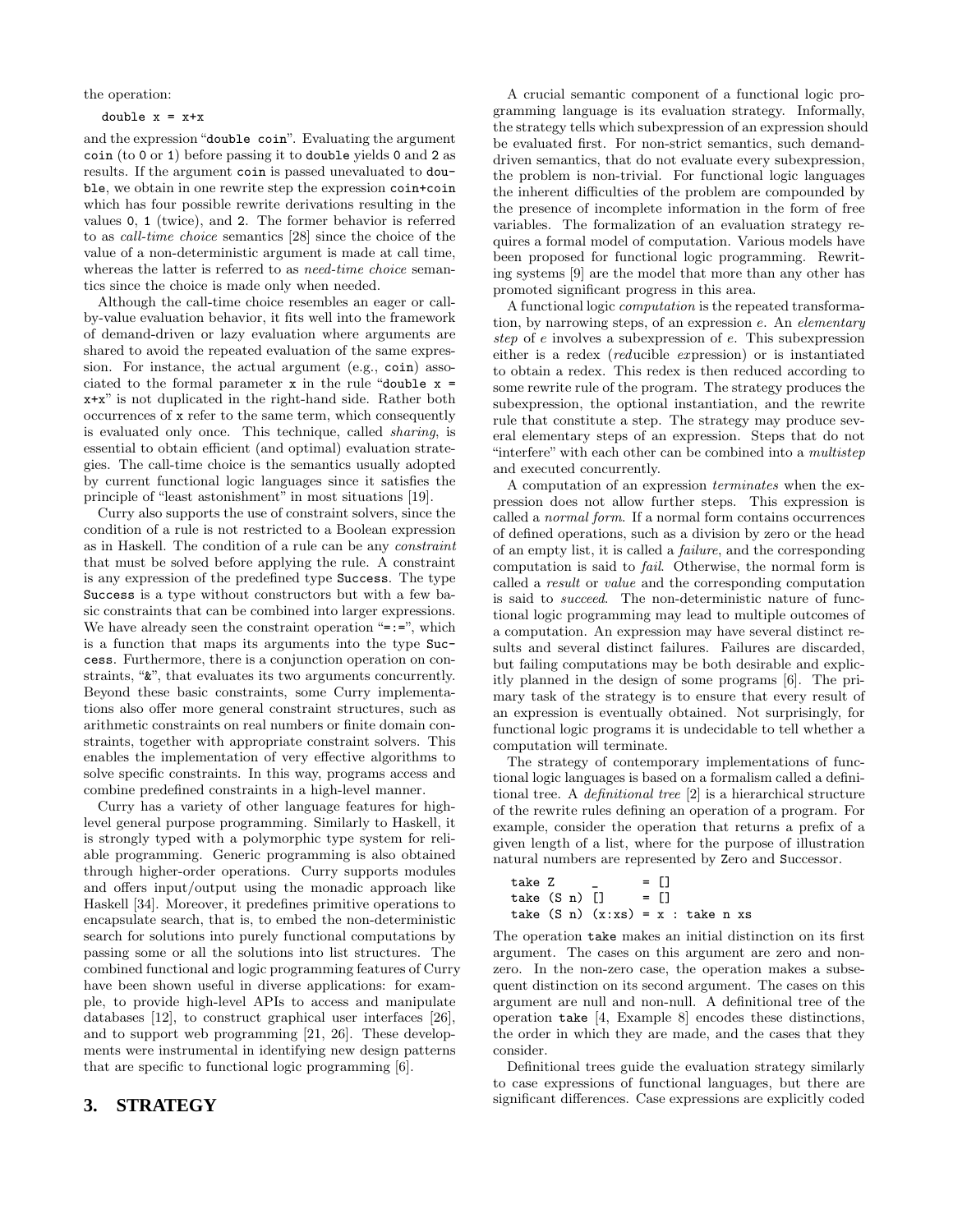the operation:

#### double  $x = x+x$

and the expression "double coin". Evaluating the argument coin (to 0 or 1) before passing it to double yields 0 and 2 as results. If the argument coin is passed unevaluated to double, we obtain in one rewrite step the expression coin+coin which has four possible rewrite derivations resulting in the values 0, 1 (twice), and 2. The former behavior is referred to as *call-time choice* semantics [28] since the choice of the value of a non-deterministic argument is made at call time, whereas the latter is referred to as *need-time choice* semantics since the choice is made only when needed.

Although the call-time choice resembles an eager or callby-value evaluation behavior, it fits well into the framework of demand-driven or lazy evaluation where arguments are shared to avoid the repeated evaluation of the same expression. For instance, the actual argument (e.g., coin) associated to the formal parameter  $x$  in the rule "double  $x =$ x+x" is not duplicated in the right-hand side. Rather both occurrences of x refer to the same term, which consequently is evaluated only once. This technique, called *sharing*, is essential to obtain efficient (and optimal) evaluation strategies. The call-time choice is the semantics usually adopted by current functional logic languages since it satisfies the principle of "least astonishment" in most situations [19].

Curry also supports the use of constraint solvers, since the condition of a rule is not restricted to a Boolean expression as in Haskell. The condition of a rule can be any *constraint* that must be solved before applying the rule. A constraint is any expression of the predefined type Success. The type Success is a type without constructors but with a few basic constraints that can be combined into larger expressions. We have already seen the constraint operation "=:=", which is a function that maps its arguments into the type Success. Furthermore, there is a conjunction operation on constraints, "&", that evaluates its two arguments concurrently. Beyond these basic constraints, some Curry implementations also offer more general constraint structures, such as arithmetic constraints on real numbers or finite domain constraints, together with appropriate constraint solvers. This enables the implementation of very effective algorithms to solve specific constraints. In this way, programs access and combine predefined constraints in a high-level manner.

Curry has a variety of other language features for highlevel general purpose programming. Similarly to Haskell, it is strongly typed with a polymorphic type system for reliable programming. Generic programming is also obtained through higher-order operations. Curry supports modules and offers input/output using the monadic approach like Haskell [34]. Moreover, it predefines primitive operations to encapsulate search, that is, to embed the non-deterministic search for solutions into purely functional computations by passing some or all the solutions into list structures. The combined functional and logic programming features of Curry have been shown useful in diverse applications: for example, to provide high-level APIs to access and manipulate databases [12], to construct graphical user interfaces [26], and to support web programming [21, 26]. These developments were instrumental in identifying new design patterns that are specific to functional logic programming [6].

# **3. STRATEGY**

A crucial semantic component of a functional logic programming language is its evaluation strategy. Informally, the strategy tells which subexpression of an expression should be evaluated first. For non-strict semantics, such demanddriven semantics, that do not evaluate every subexpression, the problem is non-trivial. For functional logic languages the inherent difficulties of the problem are compounded by the presence of incomplete information in the form of free variables. The formalization of an evaluation strategy requires a formal model of computation. Various models have been proposed for functional logic programming. Rewriting systems [9] are the model that more than any other has promoted significant progress in this area.

A functional logic *computation* is the repeated transformation, by narrowing steps, of an expression e. An *elementary step* of e involves a subexpression of e. This subexpression either is a redex (*red*ucible *ex*pression) or is instantiated to obtain a redex. This redex is then reduced according to some rewrite rule of the program. The strategy produces the subexpression, the optional instantiation, and the rewrite rule that constitute a step. The strategy may produce several elementary steps of an expression. Steps that do not "interfere" with each other can be combined into a *multistep* and executed concurrently.

A computation of an expression *terminates* when the expression does not allow further steps. This expression is called a *normal form*. If a normal form contains occurrences of defined operations, such as a division by zero or the head of an empty list, it is called a *failure*, and the corresponding computation is said to *fail*. Otherwise, the normal form is called a *result* or *value* and the corresponding computation is said to *succeed*. The non-deterministic nature of functional logic programming may lead to multiple outcomes of a computation. An expression may have several distinct results and several distinct failures. Failures are discarded, but failing computations may be both desirable and explicitly planned in the design of some programs [6]. The primary task of the strategy is to ensure that every result of an expression is eventually obtained. Not surprisingly, for functional logic programs it is undecidable to tell whether a computation will terminate.

The strategy of contemporary implementations of functional logic languages is based on a formalism called a definitional tree. A *definitional tree* [2] is a hierarchical structure of the rewrite rules defining an operation of a program. For example, consider the operation that returns a prefix of a given length of a list, where for the purpose of illustration natural numbers are represented by Zero and Successor.

| take Z        |  |                                              | $=$ $\Box$ |  |  |
|---------------|--|----------------------------------------------|------------|--|--|
| take (S n) [] |  | $= \Box$                                     |            |  |  |
|               |  | take $(S \n n)$ $(x:xs) = x : takes \n n xs$ |            |  |  |

The operation take makes an initial distinction on its first argument. The cases on this argument are zero and nonzero. In the non-zero case, the operation makes a subsequent distinction on its second argument. The cases on this argument are null and non-null. A definitional tree of the operation take [4, Example 8] encodes these distinctions, the order in which they are made, and the cases that they consider.

Definitional trees guide the evaluation strategy similarly to case expressions of functional languages, but there are significant differences. Case expressions are explicitly coded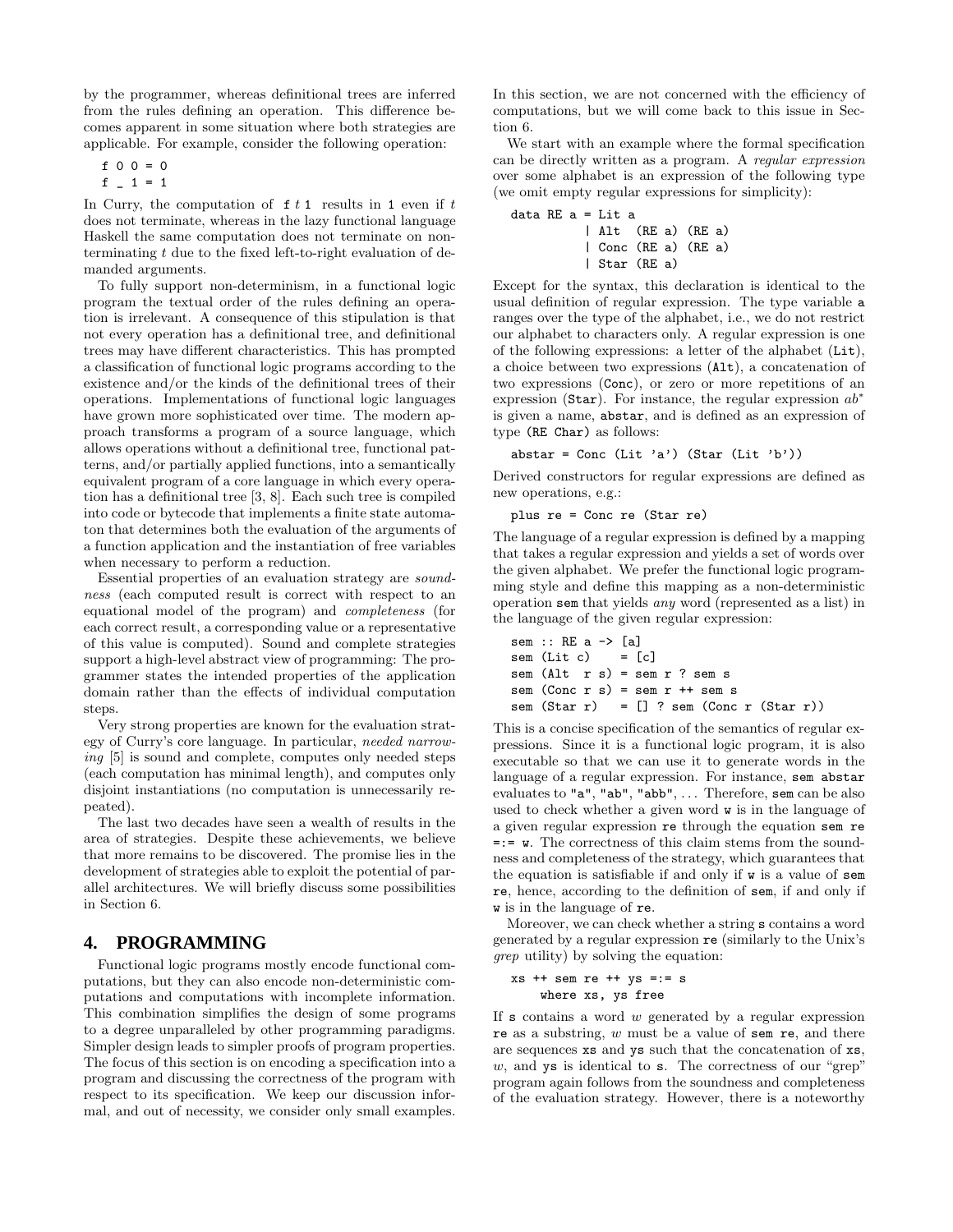by the programmer, whereas definitional trees are inferred from the rules defining an operation. This difference becomes apparent in some situation where both strategies are applicable. For example, consider the following operation:

$$
f \quad 0 \quad 0 = 0
$$

 $f = 1 = 1$ 

In Curry, the computation of  $f t 1$  results in 1 even if  $t$ does not terminate, whereas in the lazy functional language Haskell the same computation does not terminate on nonterminating  $t$  due to the fixed left-to-right evaluation of demanded arguments.

To fully support non-determinism, in a functional logic program the textual order of the rules defining an operation is irrelevant. A consequence of this stipulation is that not every operation has a definitional tree, and definitional trees may have different characteristics. This has prompted a classification of functional logic programs according to the existence and/or the kinds of the definitional trees of their operations. Implementations of functional logic languages have grown more sophisticated over time. The modern approach transforms a program of a source language, which allows operations without a definitional tree, functional patterns, and/or partially applied functions, into a semantically equivalent program of a core language in which every operation has a definitional tree [3, 8]. Each such tree is compiled into code or bytecode that implements a finite state automaton that determines both the evaluation of the arguments of a function application and the instantiation of free variables when necessary to perform a reduction.

Essential properties of an evaluation strategy are *soundness* (each computed result is correct with respect to an equational model of the program) and *completeness* (for each correct result, a corresponding value or a representative of this value is computed). Sound and complete strategies support a high-level abstract view of programming: The programmer states the intended properties of the application domain rather than the effects of individual computation steps.

Very strong properties are known for the evaluation strategy of Curry's core language. In particular, *needed narrowing* [5] is sound and complete, computes only needed steps (each computation has minimal length), and computes only disjoint instantiations (no computation is unnecessarily repeated).

The last two decades have seen a wealth of results in the area of strategies. Despite these achievements, we believe that more remains to be discovered. The promise lies in the development of strategies able to exploit the potential of parallel architectures. We will briefly discuss some possibilities in Section 6.

# **4. PROGRAMMING**

Functional logic programs mostly encode functional computations, but they can also encode non-deterministic computations and computations with incomplete information. This combination simplifies the design of some programs to a degree unparalleled by other programming paradigms. Simpler design leads to simpler proofs of program properties. The focus of this section is on encoding a specification into a program and discussing the correctness of the program with respect to its specification. We keep our discussion informal, and out of necessity, we consider only small examples.

In this section, we are not concerned with the efficiency of computations, but we will come back to this issue in Section 6.

We start with an example where the formal specification can be directly written as a program. A *regular expression* over some alphabet is an expression of the following type (we omit empty regular expressions for simplicity):

data RE a = Lit a | Alt (RE a) (RE a) | Conc (RE a) (RE a) | Star (RE a)

Except for the syntax, this declaration is identical to the usual definition of regular expression. The type variable a ranges over the type of the alphabet, i.e., we do not restrict our alphabet to characters only. A regular expression is one of the following expressions: a letter of the alphabet (Lit), a choice between two expressions (Alt), a concatenation of two expressions (Conc), or zero or more repetitions of an expression (Star). For instance, the regular expression  $ab^*$ is given a name, abstar, and is defined as an expression of type (RE Char) as follows:

abstar = Conc (Lit 'a') (Star (Lit 'b'))

Derived constructors for regular expressions are defined as new operations, e.g.:

plus re = Conc re (Star re)

The language of a regular expression is defined by a mapping that takes a regular expression and yields a set of words over the given alphabet. We prefer the functional logic programming style and define this mapping as a non-deterministic operation sem that yields *any* word (represented as a list) in the language of the given regular expression:

```
sem :: RE a -> [a]
sem (Lit c) = [c]sem (Alt \ r \ s) = sem \ r? sem s
sem (Conc r s) = sem r ++ sem ssem (Star r) = [] ? sem (Conc r (Star r))
```
This is a concise specification of the semantics of regular expressions. Since it is a functional logic program, it is also executable so that we can use it to generate words in the language of a regular expression. For instance, sem abstar evaluates to "a", "ab", "abb", ... Therefore, sem can be also used to check whether a given word w is in the language of a given regular expression re through the equation sem re  $=:=$  w. The correctness of this claim stems from the soundness and completeness of the strategy, which guarantees that the equation is satisfiable if and only if w is a value of sem re, hence, according to the definition of sem, if and only if w is in the language of re.

Moreover, we can check whether a string s contains a word generated by a regular expression re (similarly to the Unix's *grep* utility) by solving the equation:

```
xs ++ sem re ++ ys =:= s
   where xs, ys free
```
If  $s$  contains a word  $w$  generated by a regular expression re as a substring, w must be a value of sem re, and there are sequences xs and ys such that the concatenation of xs,  $w$ , and ys is identical to s. The correctness of our "grep" program again follows from the soundness and completeness of the evaluation strategy. However, there is a noteworthy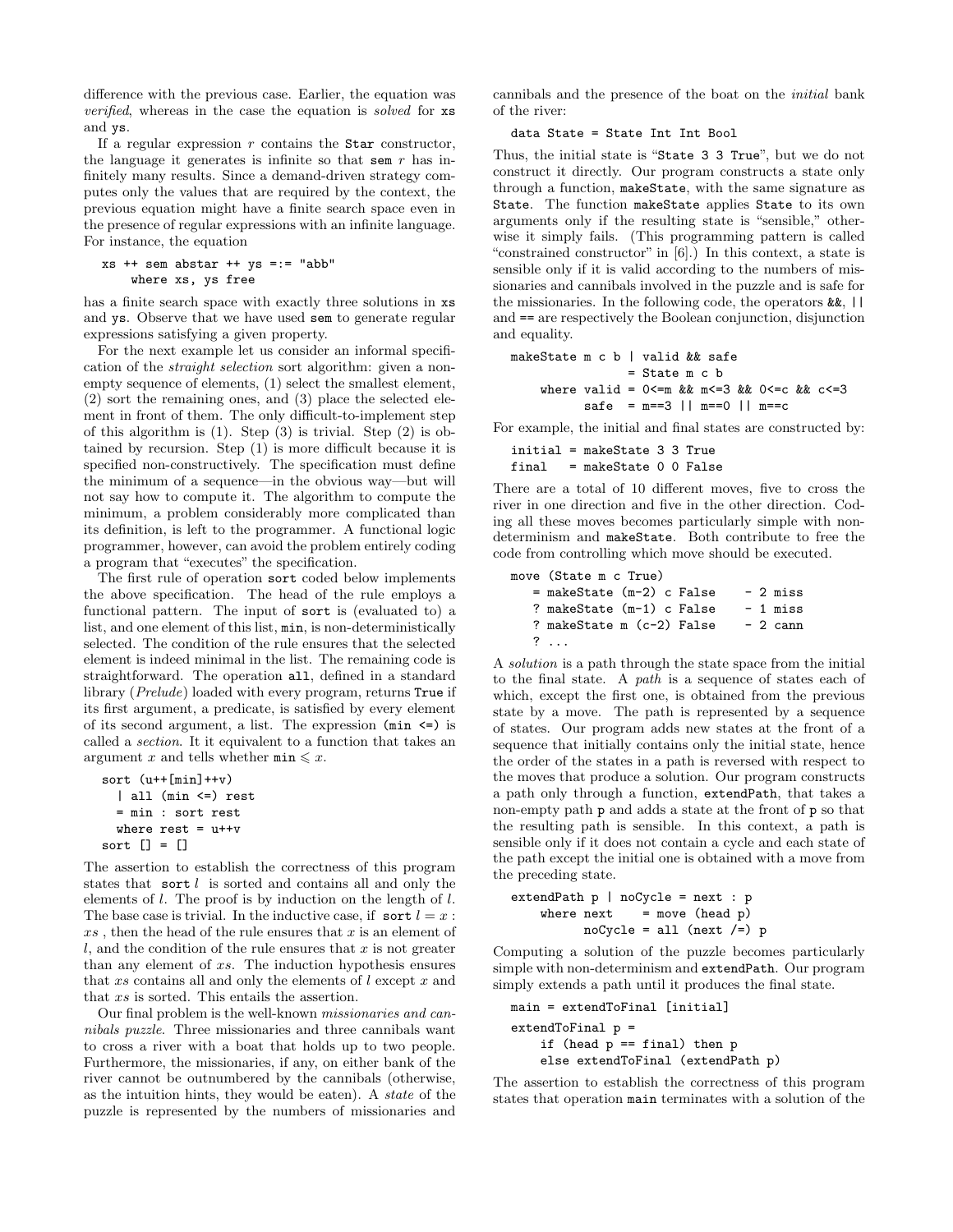difference with the previous case. Earlier, the equation was *verified*, whereas in the case the equation is *solved* for xs and ys.

If a regular expression  $r$  contains the Star constructor, the language it generates is infinite so that sem  $r$  has infinitely many results. Since a demand-driven strategy computes only the values that are required by the context, the previous equation might have a finite search space even in the presence of regular expressions with an infinite language. For instance, the equation

```
xs ++ sem abstar ++ ys =:= "abb"
    where xs, ys free
```
has a finite search space with exactly three solutions in xs and ys. Observe that we have used sem to generate regular expressions satisfying a given property.

For the next example let us consider an informal specification of the *straight selection* sort algorithm: given a nonempty sequence of elements, (1) select the smallest element, (2) sort the remaining ones, and (3) place the selected element in front of them. The only difficult-to-implement step of this algorithm is  $(1)$ . Step  $(3)$  is trivial. Step  $(2)$  is obtained by recursion. Step (1) is more difficult because it is specified non-constructively. The specification must define the minimum of a sequence—in the obvious way—but will not say how to compute it. The algorithm to compute the minimum, a problem considerably more complicated than its definition, is left to the programmer. A functional logic programmer, however, can avoid the problem entirely coding a program that "executes" the specification.

The first rule of operation sort coded below implements the above specification. The head of the rule employs a functional pattern. The input of sort is (evaluated to) a list, and one element of this list, min, is non-deterministically selected. The condition of the rule ensures that the selected element is indeed minimal in the list. The remaining code is straightforward. The operation all, defined in a standard library (*Prelude*) loaded with every program, returns True if its first argument, a predicate, is satisfied by every element of its second argument, a list. The expression  $(\min \le)$  is called a *section*. It it equivalent to a function that takes an argument x and tells whether  $\min \leq x$ .

```
sort (u++[min]++v)
  | all (min <=) rest
 = min : sort rest
 where rest = u++vsort [] = []
```
The assertion to establish the correctness of this program states that sort  $l$  is sorted and contains all and only the elements of l. The proof is by induction on the length of l. The base case is trivial. In the inductive case, if sort  $l = x$ :  $xs$ , then the head of the rule ensures that  $x$  is an element of  $l$ , and the condition of the rule ensures that  $x$  is not greater than any element of xs. The induction hypothesis ensures that  $xs$  contains all and only the elements of  $l$  except  $x$  and that xs is sorted. This entails the assertion.

Our final problem is the well-known *missionaries and cannibals puzzle*. Three missionaries and three cannibals want to cross a river with a boat that holds up to two people. Furthermore, the missionaries, if any, on either bank of the river cannot be outnumbered by the cannibals (otherwise, as the intuition hints, they would be eaten). A *state* of the puzzle is represented by the numbers of missionaries and

cannibals and the presence of the boat on the *initial* bank of the river:

#### data State = State Int Int Bool

Thus, the initial state is "State 3 3 True", but we do not construct it directly. Our program constructs a state only through a function, makeState, with the same signature as State. The function makeState applies State to its own arguments only if the resulting state is "sensible," otherwise it simply fails. (This programming pattern is called "constrained constructor" in [6].) In this context, a state is sensible only if it is valid according to the numbers of missionaries and cannibals involved in the puzzle and is safe for the missionaries. In the following code, the operators &&, || and == are respectively the Boolean conjunction, disjunction and equality.

```
makeState m c b | valid && safe
                 = State m c b
    where valid = 0 < m && m < = 3 && 0 < c && c < = 3safe = m == 3 || m == 0 || m == c
```
For example, the initial and final states are constructed by:

```
initial = makeState 3 3 True
final = makeState 0 0 False
```
There are a total of 10 different moves, five to cross the river in one direction and five in the other direction. Coding all these moves becomes particularly simple with nondeterminism and makeState. Both contribute to free the code from controlling which move should be executed.

```
move (State m c True)
  = makeState (m-2) c False -2 miss
  ? makeState (m-1) c False - 1 miss
  ? makeState m (c-2) False -2 cann
  ? ...
```
A *solution* is a path through the state space from the initial to the final state. A *path* is a sequence of states each of which, except the first one, is obtained from the previous state by a move. The path is represented by a sequence of states. Our program adds new states at the front of a sequence that initially contains only the initial state, hence the order of the states in a path is reversed with respect to the moves that produce a solution. Our program constructs a path only through a function, extendPath, that takes a non-empty path p and adds a state at the front of p so that the resulting path is sensible. In this context, a path is sensible only if it does not contain a cycle and each state of the path except the initial one is obtained with a move from the preceding state.

```
extendPath p | noCycle = next : p
   where next = move (head p)
         noCycle = all (next /=) p
```
Computing a solution of the puzzle becomes particularly simple with non-determinism and extendPath. Our program simply extends a path until it produces the final state.

```
main = extendToFinal [initial]
extendToFinal p =if (head p == final) then p
    else extendToFinal (extendPath p)
```
The assertion to establish the correctness of this program states that operation main terminates with a solution of the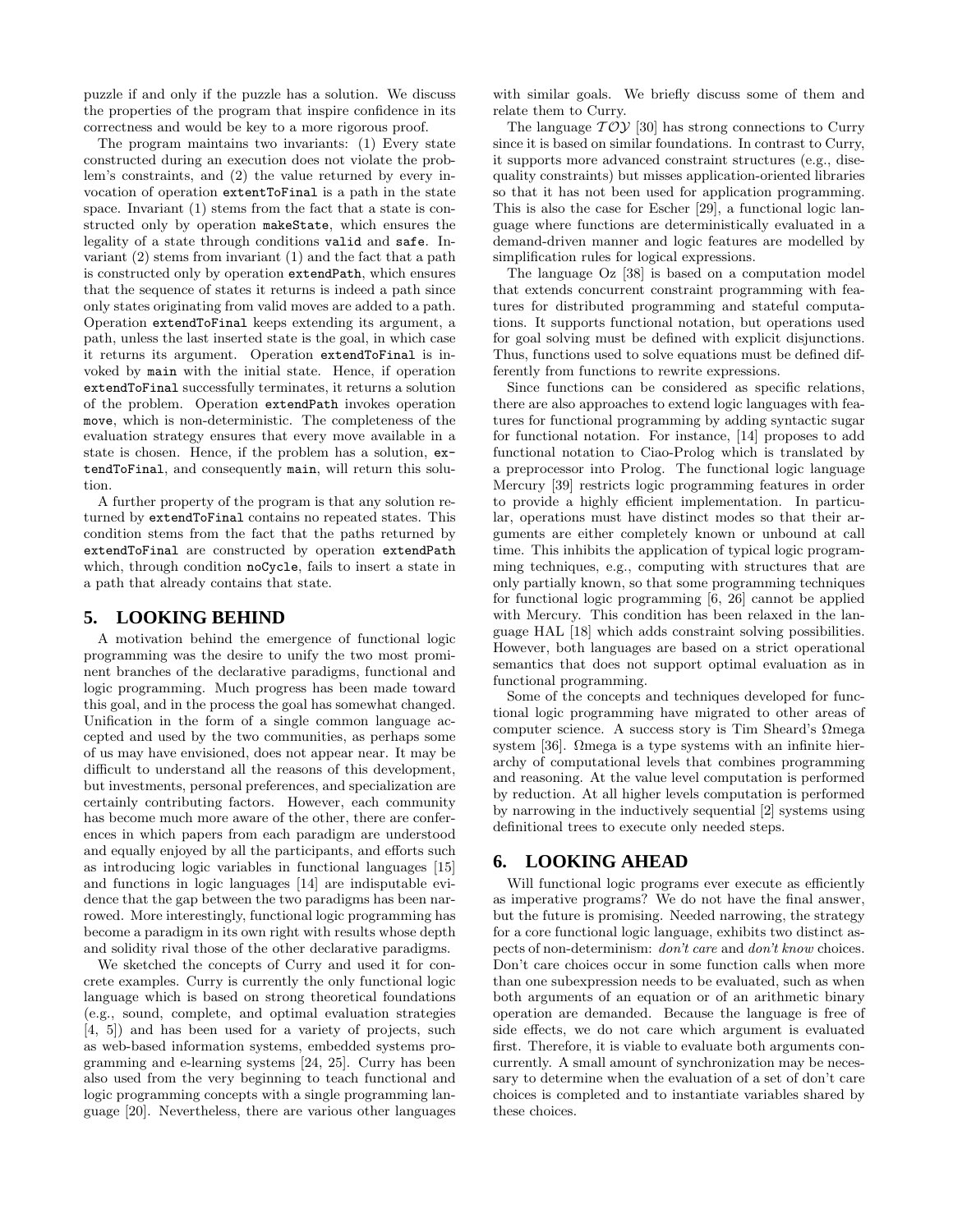puzzle if and only if the puzzle has a solution. We discuss the properties of the program that inspire confidence in its correctness and would be key to a more rigorous proof.

The program maintains two invariants: (1) Every state constructed during an execution does not violate the problem's constraints, and (2) the value returned by every invocation of operation extentToFinal is a path in the state space. Invariant (1) stems from the fact that a state is constructed only by operation makeState, which ensures the legality of a state through conditions valid and safe. Invariant (2) stems from invariant (1) and the fact that a path is constructed only by operation extendPath, which ensures that the sequence of states it returns is indeed a path since only states originating from valid moves are added to a path. Operation extendToFinal keeps extending its argument, a path, unless the last inserted state is the goal, in which case it returns its argument. Operation extendToFinal is invoked by main with the initial state. Hence, if operation extendToFinal successfully terminates, it returns a solution of the problem. Operation extendPath invokes operation move, which is non-deterministic. The completeness of the evaluation strategy ensures that every move available in a state is chosen. Hence, if the problem has a solution, extendToFinal, and consequently main, will return this solution.

A further property of the program is that any solution returned by extendToFinal contains no repeated states. This condition stems from the fact that the paths returned by extendToFinal are constructed by operation extendPath which, through condition noCycle, fails to insert a state in a path that already contains that state.

## **5. LOOKING BEHIND**

A motivation behind the emergence of functional logic programming was the desire to unify the two most prominent branches of the declarative paradigms, functional and logic programming. Much progress has been made toward this goal, and in the process the goal has somewhat changed. Unification in the form of a single common language accepted and used by the two communities, as perhaps some of us may have envisioned, does not appear near. It may be difficult to understand all the reasons of this development, but investments, personal preferences, and specialization are certainly contributing factors. However, each community has become much more aware of the other, there are conferences in which papers from each paradigm are understood and equally enjoyed by all the participants, and efforts such as introducing logic variables in functional languages [15] and functions in logic languages [14] are indisputable evidence that the gap between the two paradigms has been narrowed. More interestingly, functional logic programming has become a paradigm in its own right with results whose depth and solidity rival those of the other declarative paradigms.

We sketched the concepts of Curry and used it for concrete examples. Curry is currently the only functional logic language which is based on strong theoretical foundations (e.g., sound, complete, and optimal evaluation strategies [4, 5]) and has been used for a variety of projects, such as web-based information systems, embedded systems programming and e-learning systems [24, 25]. Curry has been also used from the very beginning to teach functional and logic programming concepts with a single programming language [20]. Nevertheless, there are various other languages with similar goals. We briefly discuss some of them and relate them to Curry.

The language  $T O Y$  [30] has strong connections to Curry since it is based on similar foundations. In contrast to Curry, it supports more advanced constraint structures (e.g., disequality constraints) but misses application-oriented libraries so that it has not been used for application programming. This is also the case for Escher [29], a functional logic language where functions are deterministically evaluated in a demand-driven manner and logic features are modelled by simplification rules for logical expressions.

The language Oz [38] is based on a computation model that extends concurrent constraint programming with features for distributed programming and stateful computations. It supports functional notation, but operations used for goal solving must be defined with explicit disjunctions. Thus, functions used to solve equations must be defined differently from functions to rewrite expressions.

Since functions can be considered as specific relations, there are also approaches to extend logic languages with features for functional programming by adding syntactic sugar for functional notation. For instance, [14] proposes to add functional notation to Ciao-Prolog which is translated by a preprocessor into Prolog. The functional logic language Mercury [39] restricts logic programming features in order to provide a highly efficient implementation. In particular, operations must have distinct modes so that their arguments are either completely known or unbound at call time. This inhibits the application of typical logic programming techniques, e.g., computing with structures that are only partially known, so that some programming techniques for functional logic programming [6, 26] cannot be applied with Mercury. This condition has been relaxed in the language HAL [18] which adds constraint solving possibilities. However, both languages are based on a strict operational semantics that does not support optimal evaluation as in functional programming.

Some of the concepts and techniques developed for functional logic programming have migrated to other areas of computer science. A success story is Tim Sheard's Ωmega system [36]. Ωmega is a type systems with an infinite hierarchy of computational levels that combines programming and reasoning. At the value level computation is performed by reduction. At all higher levels computation is performed by narrowing in the inductively sequential [2] systems using definitional trees to execute only needed steps.

## **6. LOOKING AHEAD**

Will functional logic programs ever execute as efficiently as imperative programs? We do not have the final answer, but the future is promising. Needed narrowing, the strategy for a core functional logic language, exhibits two distinct aspects of non-determinism: *don't care* and *don't know* choices. Don't care choices occur in some function calls when more than one subexpression needs to be evaluated, such as when both arguments of an equation or of an arithmetic binary operation are demanded. Because the language is free of side effects, we do not care which argument is evaluated first. Therefore, it is viable to evaluate both arguments concurrently. A small amount of synchronization may be necessary to determine when the evaluation of a set of don't care choices is completed and to instantiate variables shared by these choices.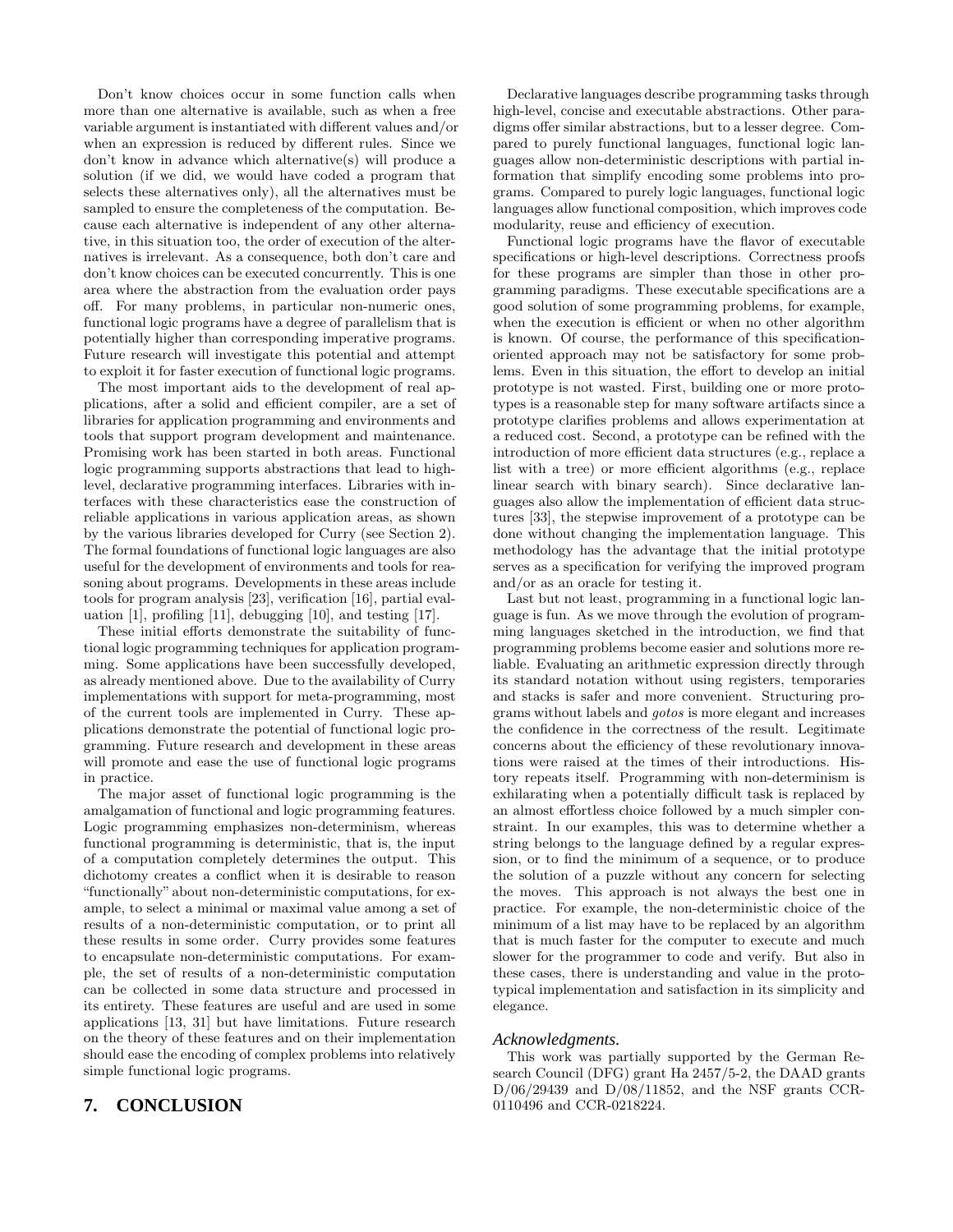Don't know choices occur in some function calls when more than one alternative is available, such as when a free variable argument is instantiated with different values and/or when an expression is reduced by different rules. Since we don't know in advance which alternative(s) will produce a solution (if we did, we would have coded a program that selects these alternatives only), all the alternatives must be sampled to ensure the completeness of the computation. Because each alternative is independent of any other alternative, in this situation too, the order of execution of the alternatives is irrelevant. As a consequence, both don't care and don't know choices can be executed concurrently. This is one area where the abstraction from the evaluation order pays off. For many problems, in particular non-numeric ones, functional logic programs have a degree of parallelism that is potentially higher than corresponding imperative programs. Future research will investigate this potential and attempt to exploit it for faster execution of functional logic programs.

The most important aids to the development of real applications, after a solid and efficient compiler, are a set of libraries for application programming and environments and tools that support program development and maintenance. Promising work has been started in both areas. Functional logic programming supports abstractions that lead to highlevel, declarative programming interfaces. Libraries with interfaces with these characteristics ease the construction of reliable applications in various application areas, as shown by the various libraries developed for Curry (see Section 2). The formal foundations of functional logic languages are also useful for the development of environments and tools for reasoning about programs. Developments in these areas include tools for program analysis [23], verification [16], partial evaluation [1], profiling [11], debugging [10], and testing [17].

These initial efforts demonstrate the suitability of functional logic programming techniques for application programming. Some applications have been successfully developed, as already mentioned above. Due to the availability of Curry implementations with support for meta-programming, most of the current tools are implemented in Curry. These applications demonstrate the potential of functional logic programming. Future research and development in these areas will promote and ease the use of functional logic programs in practice.

The major asset of functional logic programming is the amalgamation of functional and logic programming features. Logic programming emphasizes non-determinism, whereas functional programming is deterministic, that is, the input of a computation completely determines the output. This dichotomy creates a conflict when it is desirable to reason "functionally" about non-deterministic computations, for example, to select a minimal or maximal value among a set of results of a non-deterministic computation, or to print all these results in some order. Curry provides some features to encapsulate non-deterministic computations. For example, the set of results of a non-deterministic computation can be collected in some data structure and processed in its entirety. These features are useful and are used in some applications [13, 31] but have limitations. Future research on the theory of these features and on their implementation should ease the encoding of complex problems into relatively simple functional logic programs.

# **7. CONCLUSION**

Declarative languages describe programming tasks through high-level, concise and executable abstractions. Other paradigms offer similar abstractions, but to a lesser degree. Compared to purely functional languages, functional logic languages allow non-deterministic descriptions with partial information that simplify encoding some problems into programs. Compared to purely logic languages, functional logic languages allow functional composition, which improves code modularity, reuse and efficiency of execution.

Functional logic programs have the flavor of executable specifications or high-level descriptions. Correctness proofs for these programs are simpler than those in other programming paradigms. These executable specifications are a good solution of some programming problems, for example, when the execution is efficient or when no other algorithm is known. Of course, the performance of this specificationoriented approach may not be satisfactory for some problems. Even in this situation, the effort to develop an initial prototype is not wasted. First, building one or more prototypes is a reasonable step for many software artifacts since a prototype clarifies problems and allows experimentation at a reduced cost. Second, a prototype can be refined with the introduction of more efficient data structures (e.g., replace a list with a tree) or more efficient algorithms (e.g., replace linear search with binary search). Since declarative languages also allow the implementation of efficient data structures [33], the stepwise improvement of a prototype can be done without changing the implementation language. This methodology has the advantage that the initial prototype serves as a specification for verifying the improved program and/or as an oracle for testing it.

Last but not least, programming in a functional logic language is fun. As we move through the evolution of programming languages sketched in the introduction, we find that programming problems become easier and solutions more reliable. Evaluating an arithmetic expression directly through its standard notation without using registers, temporaries and stacks is safer and more convenient. Structuring programs without labels and *gotos* is more elegant and increases the confidence in the correctness of the result. Legitimate concerns about the efficiency of these revolutionary innovations were raised at the times of their introductions. History repeats itself. Programming with non-determinism is exhilarating when a potentially difficult task is replaced by an almost effortless choice followed by a much simpler constraint. In our examples, this was to determine whether a string belongs to the language defined by a regular expression, or to find the minimum of a sequence, or to produce the solution of a puzzle without any concern for selecting the moves. This approach is not always the best one in practice. For example, the non-deterministic choice of the minimum of a list may have to be replaced by an algorithm that is much faster for the computer to execute and much slower for the programmer to code and verify. But also in these cases, there is understanding and value in the prototypical implementation and satisfaction in its simplicity and elegance.

## *Acknowledgments.*

This work was partially supported by the German Research Council (DFG) grant Ha 2457/5-2, the DAAD grants D/06/29439 and D/08/11852, and the NSF grants CCR-0110496 and CCR-0218224.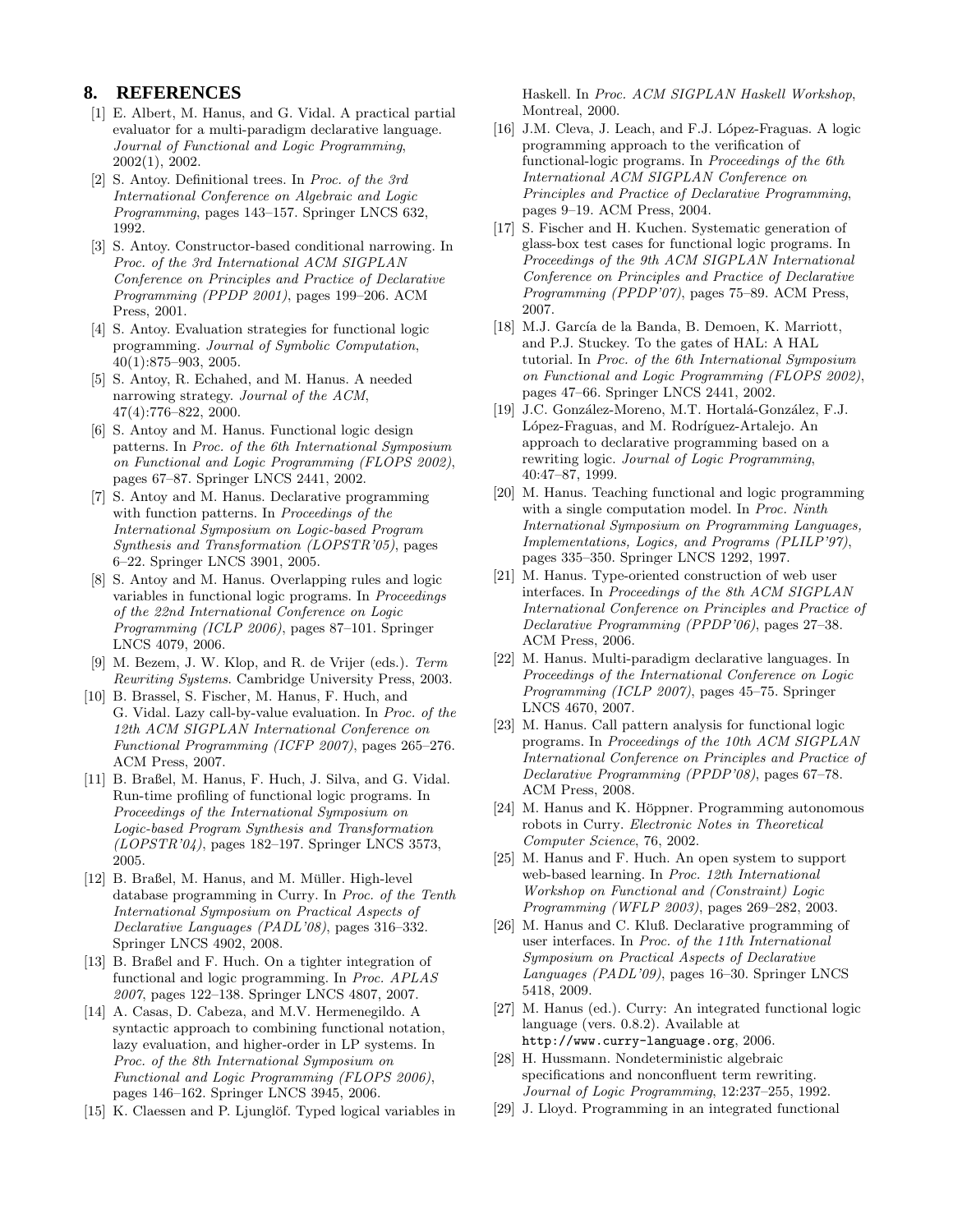# **8. REFERENCES**

- [1] E. Albert, M. Hanus, and G. Vidal. A practical partial evaluator for a multi-paradigm declarative language. *Journal of Functional and Logic Programming*, 2002(1), 2002.
- [2] S. Antoy. Definitional trees. In *Proc. of the 3rd International Conference on Algebraic and Logic Programming*, pages 143–157. Springer LNCS 632, 1992.
- [3] S. Antoy. Constructor-based conditional narrowing. In *Proc. of the 3rd International ACM SIGPLAN Conference on Principles and Practice of Declarative Programming (PPDP 2001)*, pages 199–206. ACM Press, 2001.
- [4] S. Antoy. Evaluation strategies for functional logic programming. *Journal of Symbolic Computation*, 40(1):875–903, 2005.
- [5] S. Antoy, R. Echahed, and M. Hanus. A needed narrowing strategy. *Journal of the ACM*, 47(4):776–822, 2000.
- [6] S. Antoy and M. Hanus. Functional logic design patterns. In *Proc. of the 6th International Symposium on Functional and Logic Programming (FLOPS 2002)*, pages 67–87. Springer LNCS 2441, 2002.
- [7] S. Antoy and M. Hanus. Declarative programming with function patterns. In *Proceedings of the International Symposium on Logic-based Program Synthesis and Transformation (LOPSTR'05)*, pages 6–22. Springer LNCS 3901, 2005.
- [8] S. Antoy and M. Hanus. Overlapping rules and logic variables in functional logic programs. In *Proceedings of the 22nd International Conference on Logic Programming (ICLP 2006)*, pages 87–101. Springer LNCS 4079, 2006.
- [9] M. Bezem, J. W. Klop, and R. de Vrijer (eds.). *Term Rewriting Systems*. Cambridge University Press, 2003.
- [10] B. Brassel, S. Fischer, M. Hanus, F. Huch, and G. Vidal. Lazy call-by-value evaluation. In *Proc. of the 12th ACM SIGPLAN International Conference on Functional Programming (ICFP 2007)*, pages 265–276. ACM Press, 2007.
- [11] B. Braßel, M. Hanus, F. Huch, J. Silva, and G. Vidal. Run-time profiling of functional logic programs. In *Proceedings of the International Symposium on Logic-based Program Synthesis and Transformation (LOPSTR'04)*, pages 182–197. Springer LNCS 3573, 2005.
- [12] B. Braßel, M. Hanus, and M. Müller. High-level database programming in Curry. In *Proc. of the Tenth International Symposium on Practical Aspects of Declarative Languages (PADL'08)*, pages 316–332. Springer LNCS 4902, 2008.
- [13] B. Braßel and F. Huch. On a tighter integration of functional and logic programming. In *Proc. APLAS 2007*, pages 122–138. Springer LNCS 4807, 2007.
- [14] A. Casas, D. Cabeza, and M.V. Hermenegildo. A syntactic approach to combining functional notation, lazy evaluation, and higher-order in LP systems. In *Proc. of the 8th International Symposium on Functional and Logic Programming (FLOPS 2006)*, pages 146–162. Springer LNCS 3945, 2006.
- [15] K. Claessen and P. Ljunglöf. Typed logical variables in

Haskell. In *Proc. ACM SIGPLAN Haskell Workshop*, Montreal, 2000.

- [16] J.M. Cleva, J. Leach, and F.J. López-Fraguas. A logic programming approach to the verification of functional-logic programs. In *Proceedings of the 6th International ACM SIGPLAN Conference on Principles and Practice of Declarative Programming*, pages 9–19. ACM Press, 2004.
- [17] S. Fischer and H. Kuchen. Systematic generation of glass-box test cases for functional logic programs. In *Proceedings of the 9th ACM SIGPLAN International Conference on Principles and Practice of Declarative Programming (PPDP'07)*, pages 75–89. ACM Press, 2007.
- [18] M.J. García de la Banda, B. Demoen, K. Marriott, and P.J. Stuckey. To the gates of HAL: A HAL tutorial. In *Proc. of the 6th International Symposium on Functional and Logic Programming (FLOPS 2002)*, pages 47–66. Springer LNCS 2441, 2002.
- [19] J.C. González-Moreno, M.T. Hortalá-González, F.J. López-Fraguas, and M. Rodríguez-Artalejo. An approach to declarative programming based on a rewriting logic. *Journal of Logic Programming*, 40:47–87, 1999.
- [20] M. Hanus. Teaching functional and logic programming with a single computation model. In *Proc. Ninth International Symposium on Programming Languages, Implementations, Logics, and Programs (PLILP'97)*, pages 335–350. Springer LNCS 1292, 1997.
- [21] M. Hanus. Type-oriented construction of web user interfaces. In *Proceedings of the 8th ACM SIGPLAN International Conference on Principles and Practice of Declarative Programming (PPDP'06)*, pages 27–38. ACM Press, 2006.
- [22] M. Hanus. Multi-paradigm declarative languages. In *Proceedings of the International Conference on Logic Programming (ICLP 2007)*, pages 45–75. Springer LNCS 4670, 2007.
- [23] M. Hanus. Call pattern analysis for functional logic programs. In *Proceedings of the 10th ACM SIGPLAN International Conference on Principles and Practice of Declarative Programming (PPDP'08)*, pages 67–78. ACM Press, 2008.
- [24] M. Hanus and K. Höppner. Programming autonomous robots in Curry. *Electronic Notes in Theoretical Computer Science*, 76, 2002.
- [25] M. Hanus and F. Huch. An open system to support web-based learning. In *Proc. 12th International Workshop on Functional and (Constraint) Logic Programming (WFLP 2003)*, pages 269–282, 2003.
- [26] M. Hanus and C. Kluß. Declarative programming of user interfaces. In *Proc. of the 11th International Symposium on Practical Aspects of Declarative Languages (PADL'09)*, pages 16–30. Springer LNCS 5418, 2009.
- [27] M. Hanus (ed.). Curry: An integrated functional logic language (vers. 0.8.2). Available at http://www.curry-language.org, 2006.
- [28] H. Hussmann. Nondeterministic algebraic specifications and nonconfluent term rewriting. *Journal of Logic Programming*, 12:237–255, 1992.
- [29] J. Lloyd. Programming in an integrated functional